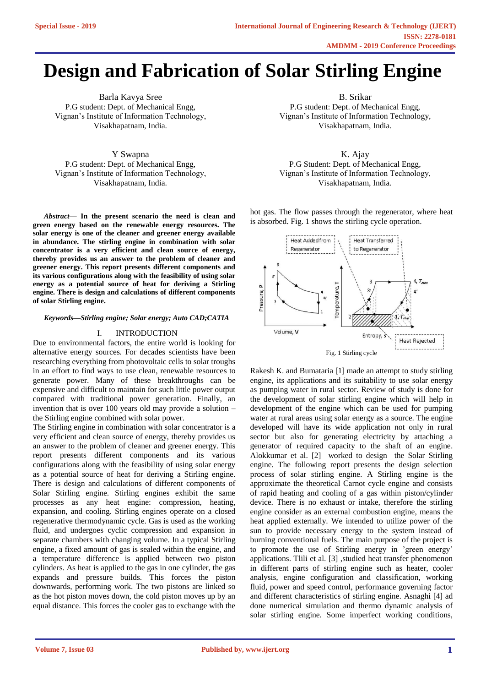# **Design and Fabrication of Solar Stirling Engine**

Barla Kavya Sree P.G student: Dept. of Mechanical Engg, Vignan's Institute of Information Technology, Visakhapatnam, India.

Y Swapna P.G student: Dept. of Mechanical Engg, Vignan's Institute of Information Technology, Visakhapatnam, India.

*Abstract***— In the present scenario the need is clean and green energy based on the renewable energy resources. The solar energy is one of the cleaner and greener energy available in abundance. The stirling engine in combination with solar concentrator is a very efficient and clean source of energy, thereby provides us an answer to the problem of cleaner and greener energy. This report presents different components and its various configurations along with the feasibility of using solar energy as a potential source of heat for deriving a Stirling engine. There is design and calculations of different components of solar Stirling engine.**

## *Keywords—Stirling engine; Solar energy; Auto CAD;CATIA*

#### I. INTRODUCTION

Due to environmental factors, the entire world is looking for alternative energy sources. For decades scientists have been researching everything from photovoltaic cells to solar troughs in an effort to find ways to use clean, renewable resources to generate power. Many of these breakthroughs can be expensive and difficult to maintain for such little power output compared with traditional power generation. Finally, an invention that is over 100 years old may provide a solution – the Stirling engine combined with solar power.

The Stirling engine in combination with solar concentrator is a very efficient and clean source of energy, thereby provides us an answer to the problem of cleaner and greener energy. This report presents different components and its various configurations along with the feasibility of using solar energy as a potential source of heat for deriving a Stirling engine. There is design and calculations of different components of Solar Stirling engine. Stirling engines exhibit the same processes as any heat engine: compression, heating, expansion, and cooling. Stirling engines operate on a closed regenerative thermodynamic cycle. Gas is used as the working fluid, and undergoes cyclic compression and expansion in separate chambers with changing volume. In a typical Stirling engine, a fixed amount of gas is sealed within the engine, and a temperature difference is applied between two piston cylinders. As heat is applied to the gas in one cylinder, the gas expands and pressure builds. This forces the piston downwards, performing work. The two pistons are linked so as the hot piston moves down, the cold piston moves up by an equal distance. This forces the cooler gas to exchange with the

B. Srikar P.G student: Dept. of Mechanical Engg, Vignan's Institute of Information Technology, Visakhapatnam, India.

K. Ajay

P.G Student: Dept. of Mechanical Engg, Vignan's Institute of Information Technology, Visakhapatnam, India.

hot gas. The flow passes through the regenerator, where heat is absorbed. Fig. 1 shows the stirling cycle operation.



Rakesh K. and Bumataria [1] made an attempt to study stirling engine, its applications and its suitability to use solar energy as pumping water in rural sector. Review of study is done for the development of solar stirling engine which will help in development of the engine which can be used for pumping water at rural areas using solar energy as a source. The engine developed will have its wide application not only in rural sector but also for generating electricity by attaching a generator of required capacity to the shaft of an engine. Alokkumar et al. [2] worked to design the Solar Stirling engine. The following report presents the design selection process of solar stirling engine. A Stirling engine is the approximate the theoretical Carnot cycle engine and consists of rapid heating and cooling of a gas within piston/cylinder device. There is no exhaust or intake, therefore the stirling engine consider as an external combustion engine, means the heat applied externally. We intended to utilize power of the sun to provide necessary energy to the system instead of burning conventional fuels. The main purpose of the project is to promote the use of Stirling energy in 'green energy' applications. Tlili et al. [3] ,studied heat transfer phenomenon in different parts of stirling engine such as heater, cooler analysis, engine configuration and classification, working fluid, power and speed control, performance governing factor and different characteristics of stirling engine. Asnaghi [4] ad done numerical simulation and thermo dynamic analysis of solar stirling engine. Some imperfect working conditions,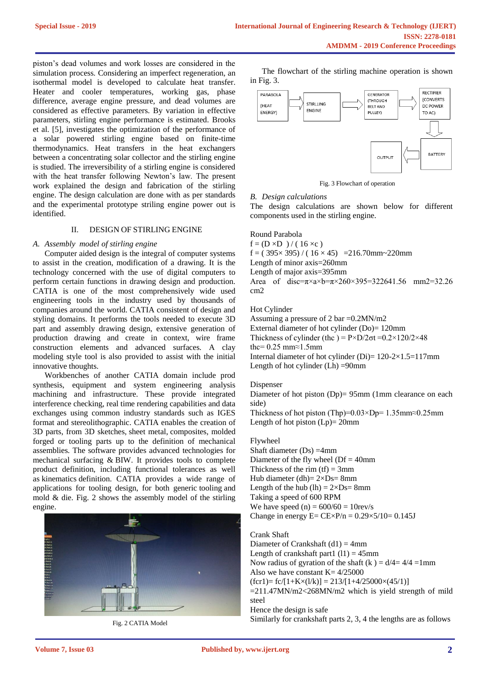piston's dead volumes and work losses are considered in the simulation process. Considering an imperfect regeneration, an isothermal model is developed to calculate heat transfer. Heater and cooler temperatures, working gas, phase difference, average engine pressure, and dead volumes are considered as effective parameters. By variation in effective parameters, stirling engine performance is estimated. Brooks et al. [5], investigates the optimization of the performance of a solar powered stirling engine based on finite-time thermodynamics. Heat transfers in the heat exchangers between a concentrating solar collector and the stirling engine is studied. The irreversibility of a stirling engine is considered with the heat transfer following Newton's law. The present work explained the design and fabrication of the stirling engine. The design calculation are done with as per standards and the experimental prototype striling engine power out is identified.

# II. DESIGN OF STIRLING ENGINE

## *A. Assembly model of stirling engine*

Computer aided design is the integral of computer systems to assist in the creation, modification of a drawing. It is the technology concerned with the use of digital computers to perform certain functions in drawing design and production. CATIA is one of the most comprehensively wide used engineering tools in the industry used by thousands of companies around the world. CATIA consistent of design and styling domains. It performs the tools needed to execute 3D part and assembly drawing design, extensive generation of production drawing and create in context, wire frame construction elements and advanced surfaces. A clay modeling style tool is also provided to assist with the initial innovative thoughts.

Workbenches of another CATIA domain include prod synthesis, equipment and system engineering analysis machining and infrastructure. These provide integrated interference checking, real time rendering capabilities and data exchanges using common industry standards such as IGES format and stereolithographic. CATIA enables the creation of 3D parts, from 3D sketches, sheet metal, composites, molded forged or tooling parts up to the definition of mechanical assemblies. The software provides advanced technologies for mechanical surfacing & BIW. It provides tools to complete product definition, including functional tolerances as well as kinematics definition. CATIA provides a wide range of applications for tooling design, for both generic tooling and mold & die. Fig. 2 shows the assembly model of the stirling engine.



Fig. 2 CATIA Model

The flowchart of the stirling machine operation is shown in Fig. 3.



Fig. 3 Flowchart of operation

## *B. Design calculations*

The design calculations are shown below for different components used in the stirling engine.

#### Round Parabola

 $f = (D \times D) / (16 \times c)$ f =  $(395 \times 395) / (16 \times 45)$  = 216.70 mm ~ 220 mm Length of minor axis=260mm Length of major axis=395mm Area of disc=π×a×b=π×260×395=322641.56 mm2=32.26 cm2

## Hot Cylinder

Assuming a pressure of 2 bar =0.2MN/m2 External diameter of hot cylinder (Do)= 120mm Thickness of cylinder (thc ) =  $P \times D/2 \sigma t = 0.2 \times 120/2 \times 48$ thc= 0.25 mm≈1.5mm Internal diameter of hot cylinder (Di)= 120-2×1.5=117mm Length of hot cylinder (Lh) =90mm

## Dispenser

Diameter of hot piston (Dp)= 95mm (1mm clearance on each side) Thickness of hot piston (Thp)= $0.03 \times Dp= 1.35$ mm $\approx 0.25$ mm Length of hot piston  $(Lp)$ = 20mm

# Flywheel

Shaft diameter (Ds) =4mm Diameter of the fly wheel  $(Df = 40$ mm Thickness of the rim  $(tf) = 3mm$ Hub diameter (dh)=  $2 \times Ds = 8$ mm Length of the hub (lh) =  $2 \times Ds = 8$ mm Taking a speed of 600 RPM We have speed (n) =  $600/60 = 10$  rev/s Change in energy  $E = CExP/n = 0.29 \times 5/10 = 0.145J$ 

Crank Shaft Diameter of Crankshaft  $(d1) = 4$ mm Length of crankshaft part1  $(11) = 45$ mm Now radius of gyration of the shaft  $(k) = d/4 = 4/4 = 1$ mm Also we have constant  $K = 4/25000$  $(fcr1)=fc/[1+K\times(1/k)]=213/[1+4/25000\times(45/1)]$ =211.47MN/m2<268MN/m2 which is yield strength of mild steel Hence the design is safe Similarly for crankshaft parts 2, 3, 4 the lengths are as follows